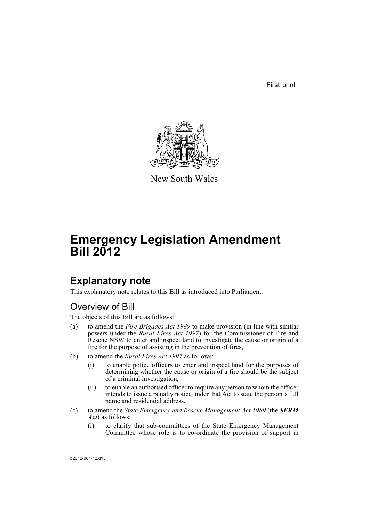First print



New South Wales

# **Emergency Legislation Amendment Bill 2012**

## **Explanatory note**

This explanatory note relates to this Bill as introduced into Parliament.

## Overview of Bill

The objects of this Bill are as follows:

- (a) to amend the *Fire Brigades Act 1989* to make provision (in line with similar powers under the *Rural Fires Act 1997*) for the Commissioner of Fire and Rescue NSW to enter and inspect land to investigate the cause or origin of a fire for the purpose of assisting in the prevention of fires,
- (b) to amend the *Rural Fires Act 1997* as follows:
	- (i) to enable police officers to enter and inspect land for the purposes of determining whether the cause or origin of a fire should be the subject of a criminal investigation,
	- (ii) to enable an authorised officer to require any person to whom the officer intends to issue a penalty notice under that Act to state the person's full name and residential address,
- (c) to amend the *State Emergency and Rescue Management Act 1989* (the *SERM Act*) as follows:
	- (i) to clarify that sub-committees of the State Emergency Management Committee whose role is to co-ordinate the provision of support in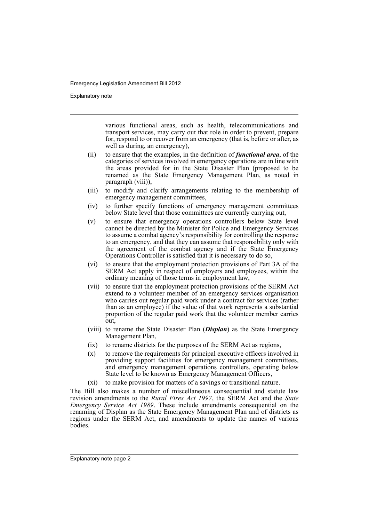Explanatory note

various functional areas, such as health, telecommunications and transport services, may carry out that role in order to prevent, prepare for, respond to or recover from an emergency (that is, before or after, as well as during, an emergency),

- (ii) to ensure that the examples, in the definition of *functional area*, of the categories of services involved in emergency operations are in line with the areas provided for in the State Disaster Plan (proposed to be renamed as the State Emergency Management Plan, as noted in paragraph (viii)),
- (iii) to modify and clarify arrangements relating to the membership of emergency management committees,
- (iv) to further specify functions of emergency management committees below State level that those committees are currently carrying out,
- (v) to ensure that emergency operations controllers below State level cannot be directed by the Minister for Police and Emergency Services to assume a combat agency's responsibility for controlling the response to an emergency, and that they can assume that responsibility only with the agreement of the combat agency and if the State Emergency Operations Controller is satisfied that it is necessary to do so,
- (vi) to ensure that the employment protection provisions of Part 3A of the SERM Act apply in respect of employers and employees, within the ordinary meaning of those terms in employment law,
- (vii) to ensure that the employment protection provisions of the SERM Act extend to a volunteer member of an emergency services organisation who carries out regular paid work under a contract for services (rather than as an employee) if the value of that work represents a substantial proportion of the regular paid work that the volunteer member carries out,
- (viii) to rename the State Disaster Plan (*Displan*) as the State Emergency Management Plan,
- (ix) to rename districts for the purposes of the SERM Act as regions,
- (x) to remove the requirements for principal executive officers involved in providing support facilities for emergency management committees, and emergency management operations controllers, operating below State level to be known as Emergency Management Officers,
- (xi) to make provision for matters of a savings or transitional nature.

The Bill also makes a number of miscellaneous consequential and statute law revision amendments to the *Rural Fires Act 1997*, the SERM Act and the *State Emergency Service Act 1989*. These include amendments consequential on the renaming of Displan as the State Emergency Management Plan and of districts as regions under the SERM Act, and amendments to update the names of various bodies.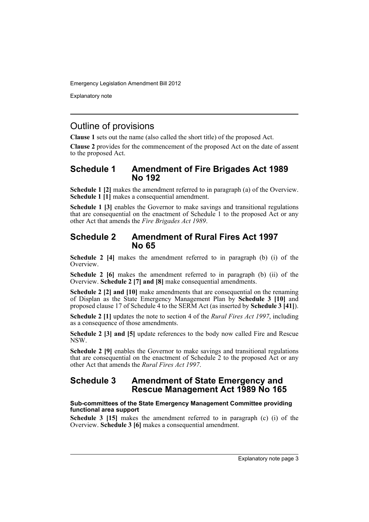Explanatory note

## Outline of provisions

**Clause 1** sets out the name (also called the short title) of the proposed Act.

**Clause 2** provides for the commencement of the proposed Act on the date of assent to the proposed Act.

## **Schedule 1 Amendment of Fire Brigades Act 1989 No 192**

**Schedule 1 [2]** makes the amendment referred to in paragraph (a) of the Overview. **Schedule 1 [1]** makes a consequential amendment.

**Schedule 1 [3]** enables the Governor to make savings and transitional regulations that are consequential on the enactment of Schedule 1 to the proposed Act or any other Act that amends the *Fire Brigades Act 1989*.

## **Schedule 2 Amendment of Rural Fires Act 1997 No 65**

**Schedule 2 [4]** makes the amendment referred to in paragraph (b) (i) of the Overview.

**Schedule 2** [6] makes the amendment referred to in paragraph (b) (ii) of the Overview. **Schedule 2 [7] and [8]** make consequential amendments.

**Schedule 2 [2] and [10]** make amendments that are consequential on the renaming of Displan as the State Emergency Management Plan by **Schedule 3 [10]** and proposed clause 17 of Schedule 4 to the SERM Act (as inserted by **Schedule 3 [41]**).

**Schedule 2 [1]** updates the note to section 4 of the *Rural Fires Act 1997*, including as a consequence of those amendments.

**Schedule 2 [3] and [5]** update references to the body now called Fire and Rescue NSW.

**Schedule 2 [9]** enables the Governor to make savings and transitional regulations that are consequential on the enactment of Schedule 2 to the proposed Act or any other Act that amends the *Rural Fires Act 1997*.

## **Schedule 3 Amendment of State Emergency and Rescue Management Act 1989 No 165**

## **Sub-committees of the State Emergency Management Committee providing functional area support**

**Schedule 3 [15]** makes the amendment referred to in paragraph (c) (i) of the Overview. **Schedule 3 [6]** makes a consequential amendment.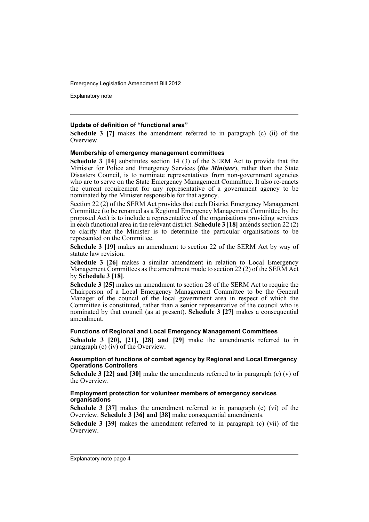Explanatory note

### **Update of definition of "functional area"**

**Schedule 3 [7]** makes the amendment referred to in paragraph (c) (ii) of the **Overview** 

#### **Membership of emergency management committees**

**Schedule 3 [14]** substitutes section 14 (3) of the SERM Act to provide that the Minister for Police and Emergency Services (*the Minister*), rather than the State Disasters Council, is to nominate representatives from non-government agencies who are to serve on the State Emergency Management Committee. It also re-enacts the current requirement for any representative of a government agency to be nominated by the Minister responsible for that agency.

Section 22 (2) of the SERM Act provides that each District Emergency Management Committee (to be renamed as a Regional Emergency Management Committee by the proposed Act) is to include a representative of the organisations providing services in each functional area in the relevant district. **Schedule 3 [18]** amends section 22 (2) to clarify that the Minister is to determine the particular organisations to be represented on the Committee.

**Schedule 3 [19]** makes an amendment to section 22 of the SERM Act by way of statute law revision.

**Schedule 3 [26]** makes a similar amendment in relation to Local Emergency Management Committees as the amendment made to section 22 (2) of the SERM Act by **Schedule 3 [18]**.

**Schedule 3 [25]** makes an amendment to section 28 of the SERM Act to require the Chairperson of a Local Emergency Management Committee to be the General Manager of the council of the local government area in respect of which the Committee is constituted, rather than a senior representative of the council who is nominated by that council (as at present). **Schedule 3 [27]** makes a consequential amendment.

#### **Functions of Regional and Local Emergency Management Committees**

**Schedule 3 [20], [21], [28] and [29]** make the amendments referred to in paragraph (c) (iv) of the Overview.

#### **Assumption of functions of combat agency by Regional and Local Emergency Operations Controllers**

**Schedule 3 [22] and [30]** make the amendments referred to in paragraph (c) (v) of the Overview.

#### **Employment protection for volunteer members of emergency services organisations**

**Schedule 3 [37]** makes the amendment referred to in paragraph (c) (vi) of the Overview. **Schedule 3 [36] and [38]** make consequential amendments.

**Schedule 3 [39]** makes the amendment referred to in paragraph (c) (vii) of the Overview.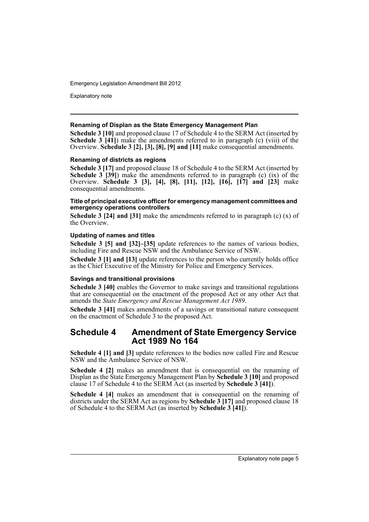Explanatory note

### **Renaming of Displan as the State Emergency Management Plan**

**Schedule 3 [10]** and proposed clause 17 of Schedule 4 to the SERM Act (inserted by **Schedule 3 [41]**) make the amendments referred to in paragraph (c) (viii) of the Overview. **Schedule 3 [2], [3], [8], [9] and [11]** make consequential amendments.

### **Renaming of districts as regions**

**Schedule 3 [17]** and proposed clause 18 of Schedule 4 to the SERM Act (inserted by **Schedule 3 [39]**) make the amendments referred to in paragraph  $(c)$  (ix) of the Overview. **Schedule 3 [3], [4], [8], [11], [12], [16], [17] and [23]** make consequential amendments.

### **Title of principal executive officer for emergency management committees and emergency operations controllers**

**Schedule 3 [24] and [31]** make the amendments referred to in paragraph (c) (x) of the Overview.

## **Updating of names and titles**

**Schedule 3 [5] and [32]–[35]** update references to the names of various bodies, including Fire and Rescue NSW and the Ambulance Service of NSW.

**Schedule 3 [1] and [13]** update references to the person who currently holds office as the Chief Executive of the Ministry for Police and Emergency Services.

#### **Savings and transitional provisions**

**Schedule 3 [40]** enables the Governor to make savings and transitional regulations that are consequential on the enactment of the proposed Act or any other Act that amends the *State Emergency and Rescue Management Act 1989*.

**Schedule 3 [41]** makes amendments of a savings or transitional nature consequent on the enactment of Schedule 3 to the proposed Act.

## **Schedule 4 Amendment of State Emergency Service Act 1989 No 164**

**Schedule 4 [1] and [3]** update references to the bodies now called Fire and Rescue NSW and the Ambulance Service of NSW.

**Schedule 4 [2]** makes an amendment that is consequential on the renaming of Displan as the State Emergency Management Plan by **Schedule 3 [10]** and proposed clause 17 of Schedule 4 to the SERM Act (as inserted by **Schedule 3 [41]**).

**Schedule 4 [4]** makes an amendment that is consequential on the renaming of districts under the SERM Act as regions by **Schedule 3 [17]** and proposed clause 18 of Schedule 4 to the SERM Act (as inserted by **Schedule 3 [41]**).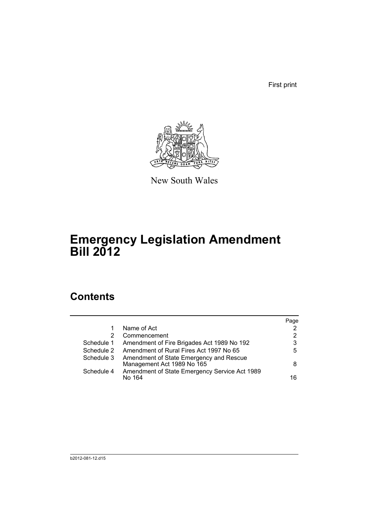First print



New South Wales

# **Emergency Legislation Amendment Bill 2012**

## **Contents**

|            |                                                                       | Page |
|------------|-----------------------------------------------------------------------|------|
|            | Name of Act                                                           | 2    |
| 2          | Commencement                                                          | 2    |
| Schedule 1 | Amendment of Fire Brigades Act 1989 No 192                            | 3    |
| Schedule 2 | Amendment of Rural Fires Act 1997 No 65                               | 5    |
| Schedule 3 | Amendment of State Emergency and Rescue<br>Management Act 1989 No 165 | 8    |
| Schedule 4 | Amendment of State Emergency Service Act 1989<br>No 164               | 16   |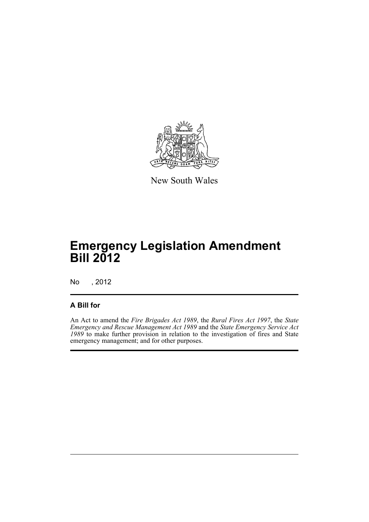

New South Wales

# **Emergency Legislation Amendment Bill 2012**

No , 2012

## **A Bill for**

An Act to amend the *Fire Brigades Act 1989*, the *Rural Fires Act 1997*, the *State Emergency and Rescue Management Act 1989* and the *State Emergency Service Act 1989* to make further provision in relation to the investigation of fires and State emergency management; and for other purposes.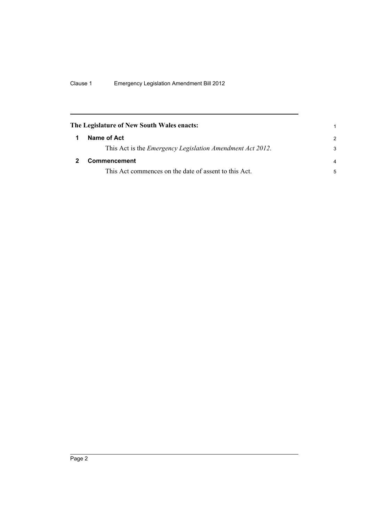<span id="page-9-1"></span><span id="page-9-0"></span>

|   | The Legislature of New South Wales enacts:                        |                |
|---|-------------------------------------------------------------------|----------------|
| 1 | Name of Act                                                       | $\mathcal{P}$  |
|   | This Act is the <i>Emergency Legislation Amendment Act 2012</i> . | 3              |
|   | Commencement                                                      | $\overline{a}$ |
|   | This Act commences on the date of assent to this Act.             | 5              |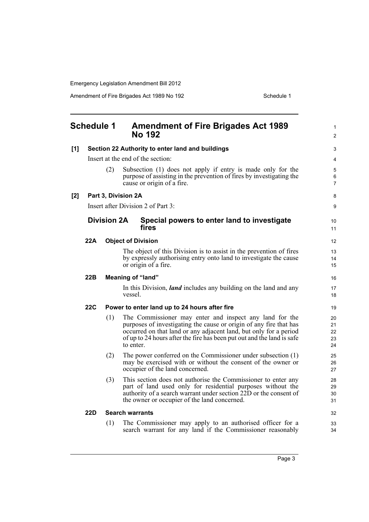Amendment of Fire Brigades Act 1989 No 192 Schedule 1

<span id="page-10-0"></span>

|     | <b>Schedule 1</b> |                    | <b>Amendment of Fire Brigades Act 1989</b><br><b>No 192</b>                                                                                                                                                                                                                               | 1<br>2                     |
|-----|-------------------|--------------------|-------------------------------------------------------------------------------------------------------------------------------------------------------------------------------------------------------------------------------------------------------------------------------------------|----------------------------|
| [1] |                   |                    | Section 22 Authority to enter land and buildings                                                                                                                                                                                                                                          | 3                          |
|     |                   |                    | Insert at the end of the section:                                                                                                                                                                                                                                                         | 4                          |
|     |                   | (2)                | Subsection (1) does not apply if entry is made only for the<br>purpose of assisting in the prevention of fires by investigating the<br>cause or origin of a fire.                                                                                                                         | 5<br>6<br>$\overline{7}$   |
| [2] |                   |                    | Part 3, Division 2A                                                                                                                                                                                                                                                                       | 8                          |
|     |                   |                    | Insert after Division 2 of Part 3:                                                                                                                                                                                                                                                        | 9                          |
|     |                   | <b>Division 2A</b> | Special powers to enter land to investigate<br>fires                                                                                                                                                                                                                                      | 10<br>11                   |
|     | 22A               |                    | <b>Object of Division</b>                                                                                                                                                                                                                                                                 | 12                         |
|     |                   |                    | The object of this Division is to assist in the prevention of fires<br>by expressly authorising entry onto land to investigate the cause<br>or origin of a fire.                                                                                                                          | 13<br>14<br>15             |
|     | 22B               |                    | <b>Meaning of "land"</b>                                                                                                                                                                                                                                                                  | 16                         |
|     |                   |                    | In this Division, <i>land</i> includes any building on the land and any<br>vessel.                                                                                                                                                                                                        | 17<br>18                   |
|     | 22C               |                    | Power to enter land up to 24 hours after fire                                                                                                                                                                                                                                             | 19                         |
|     |                   | (1)                | The Commissioner may enter and inspect any land for the<br>purposes of investigating the cause or origin of any fire that has<br>occurred on that land or any adjacent land, but only for a period<br>of up to 24 hours after the fire has been put out and the land is safe<br>to enter. | 20<br>21<br>22<br>23<br>24 |
|     |                   | (2)                | The power conferred on the Commissioner under subsection (1)<br>may be exercised with or without the consent of the owner or<br>occupier of the land concerned.                                                                                                                           | 25<br>26<br>27             |
|     |                   | (3)                | This section does not authorise the Commissioner to enter any<br>part of land used only for residential purposes without the<br>authority of a search warrant under section 22D or the consent of<br>the owner or occupier of the land concerned.                                         | 28<br>29<br>30<br>31       |
|     | 22D               |                    | <b>Search warrants</b>                                                                                                                                                                                                                                                                    | 32                         |
|     |                   | (1)                | The Commissioner may apply to an authorised officer for a<br>search warrant for any land if the Commissioner reasonably                                                                                                                                                                   | 33<br>34                   |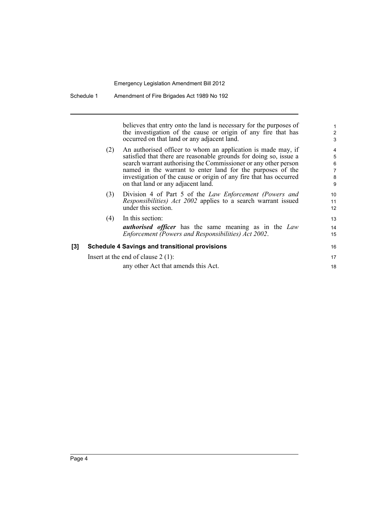believes that entry onto the land is necessary for the purposes of the investigation of the cause or origin of any fire that has occurred on that land or any adjacent land.

16 17 18

- (2) An authorised officer to whom an application is made may, if satisfied that there are reasonable grounds for doing so, issue a search warrant authorising the Commissioner or any other person named in the warrant to enter land for the purposes of the investigation of the cause or origin of any fire that has occurred on that land or any adjacent land.
- (3) Division 4 of Part 5 of the *Law Enforcement (Powers and Responsibilities) Act 2002* applies to a search warrant issued under this section.
- (4) In this section: *authorised officer* has the same meaning as in the *Law Enforcement (Powers and Responsibilities) Act 2002*.

| <b>Schedule 4 Savings and transitional provisions</b> |
|-------------------------------------------------------|
| Insert at the end of clause $2(1)$ :                  |

any other Act that amends this Act.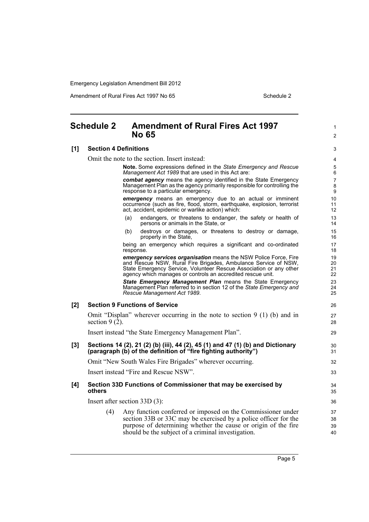Amendment of Rural Fires Act 1997 No 65 Schedule 2

1  $\mathfrak{p}$ 

## <span id="page-12-0"></span>**Schedule 2 Amendment of Rural Fires Act 1997 No 65**

#### **[1] Section 4 Definitions**

Omit the note to the section. Insert instead:

**Note.** Some expressions defined in the *State Emergency and Rescue Management Act 1989* that are used in this Act are:

*combat agency* means the agency identified in the State Emergency Management Plan as the agency primarily responsible for controlling the response to a particular emergency.

*emergency* means an emergency due to an actual or imminent occurrence (such as fire, flood, storm, earthquake, explosion, terrorist act, accident, epidemic or warlike action) which:

- (a) endangers, or threatens to endanger, the safety or health of persons or animals in the State, or
- (b) destroys or damages, or threatens to destroy or damage, property in the State,

being an emergency which requires a significant and co-ordinated response.

*emergency services organisation* means the NSW Police Force, Fire and Rescue NSW, Rural Fire Brigades, Ambulance Service of NSW, State Emergency Service, Volunteer Rescue Association or any other agency which manages or controls an accredited rescue unit.

*State Emergency Management Plan* means the State Emergency Management Plan referred to in section 12 of the *State Emergency and Rescue Management Act 1989*.

### **[2] Section 9 Functions of Service**

Omit "Displan" wherever occurring in the note to section 9 (1) (b) and in section  $9(2)$ .

Insert instead "the State Emergency Management Plan".

#### **[3] Sections 14 (2), 21 (2) (b) (iii), 44 (2), 45 (1) and 47 (1) (b) and Dictionary (paragraph (b) of the definition of "fire fighting authority")**

Omit "New South Wales Fire Brigades" wherever occurring.

Insert instead "Fire and Rescue NSW".

### **[4] Section 33D Functions of Commissioner that may be exercised by others**

Insert after section 33D (3):

(4) Any function conferred or imposed on the Commissioner under section 33B or 33C may be exercised by a police officer for the purpose of determining whether the cause or origin of the fire should be the subject of a criminal investigation.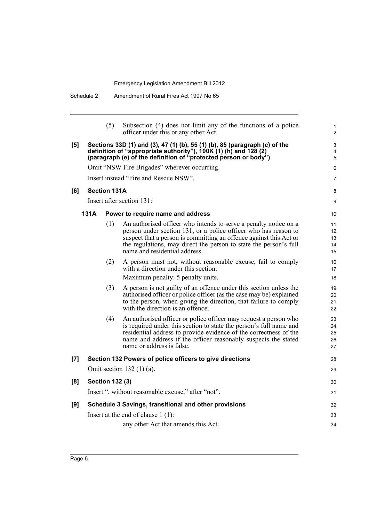|     |      | (5)                    | Subsection (4) does not limit any of the functions of a police<br>officer under this or any other Act.                                                                                                                                                                                                          | 1<br>$\overline{2}$        |
|-----|------|------------------------|-----------------------------------------------------------------------------------------------------------------------------------------------------------------------------------------------------------------------------------------------------------------------------------------------------------------|----------------------------|
| [5] |      |                        | Sections 33D (1) and (3), 47 (1) (b), 55 (1) (b), 85 (paragraph (c) of the<br>definition of "appropriate authority"), 100K (1) (h) and 128 (2)<br>(paragraph (e) of the definition of "protected person or body")                                                                                               | 3<br>$\overline{4}$<br>5   |
|     |      |                        | Omit "NSW Fire Brigades" wherever occurring.                                                                                                                                                                                                                                                                    | 6                          |
|     |      |                        | Insert instead "Fire and Rescue NSW".                                                                                                                                                                                                                                                                           | $\overline{7}$             |
| [6] |      | <b>Section 131A</b>    |                                                                                                                                                                                                                                                                                                                 | 8                          |
|     |      |                        | Insert after section 131:                                                                                                                                                                                                                                                                                       | 9                          |
|     | 131A |                        | Power to require name and address                                                                                                                                                                                                                                                                               | 10                         |
|     |      | (1)                    | An authorised officer who intends to serve a penalty notice on a<br>person under section 131, or a police officer who has reason to<br>suspect that a person is committing an offence against this Act or<br>the regulations, may direct the person to state the person's full<br>name and residential address. | 11<br>12<br>13<br>14<br>15 |
|     |      | (2)                    | A person must not, without reasonable excuse, fail to comply<br>with a direction under this section.<br>Maximum penalty: 5 penalty units.                                                                                                                                                                       | 16<br>17<br>18             |
|     |      | (3)                    | A person is not guilty of an offence under this section unless the<br>authorised officer or police officer (as the case may be) explained<br>to the person, when giving the direction, that failure to comply<br>with the direction is an offence.                                                              | 19<br>20<br>21<br>22       |
|     |      | (4)                    | An authorised officer or police officer may request a person who<br>is required under this section to state the person's full name and<br>residential address to provide evidence of the correctness of the<br>name and address if the officer reasonably suspects the stated<br>name or address is false.      | 23<br>24<br>25<br>26<br>27 |
| [7] |      |                        | Section 132 Powers of police officers to give directions                                                                                                                                                                                                                                                        | 28                         |
|     |      |                        | Omit section $132(1)(a)$ .                                                                                                                                                                                                                                                                                      | 29                         |
| [8] |      | <b>Section 132 (3)</b> |                                                                                                                                                                                                                                                                                                                 | 30                         |
|     |      |                        | Insert ", without reasonable excuse," after "not".                                                                                                                                                                                                                                                              | 31                         |
| [9] |      |                        | Schedule 3 Savings, transitional and other provisions                                                                                                                                                                                                                                                           | 32                         |
|     |      |                        | Insert at the end of clause $1(1)$ :                                                                                                                                                                                                                                                                            | 33                         |
|     |      |                        | any other Act that amends this Act.                                                                                                                                                                                                                                                                             | 34                         |
|     |      |                        |                                                                                                                                                                                                                                                                                                                 |                            |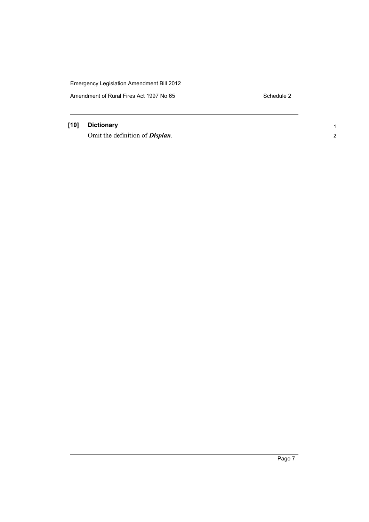Amendment of Rural Fires Act 1997 No 65 Schedule 2

1 2

## **[10] Dictionary**

Omit the definition of *Displan*.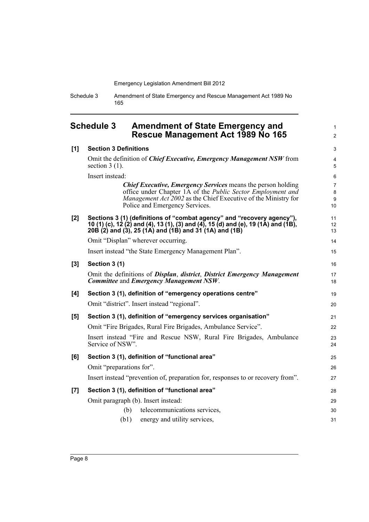Schedule 3 Amendment of State Emergency and Rescue Management Act 1989 No 165

## <span id="page-15-0"></span>**Schedule 3 Amendment of State Emergency and Rescue Management Act 1989 No 165**

1 2

| [1] | <b>Section 3 Definitions</b>                                                                                                                                                                                                           | 3                              |
|-----|----------------------------------------------------------------------------------------------------------------------------------------------------------------------------------------------------------------------------------------|--------------------------------|
|     | Omit the definition of <i>Chief Executive</i> , <i>Emergency Management NSW</i> from<br>section $3(1)$ .                                                                                                                               | 4<br>5                         |
|     | Insert instead:                                                                                                                                                                                                                        | 6                              |
|     | <b>Chief Executive, Emergency Services means the person holding</b><br>office under Chapter 1A of the Public Sector Employment and<br>Management Act 2002 as the Chief Executive of the Ministry for<br>Police and Emergency Services. | $\overline{7}$<br>8<br>9<br>10 |
| [2] | Sections 3 (1) (definitions of "combat agency" and "recovery agency"),<br>10 (1) (c), 12 (2) and (4), 13 (1), (3) and (4), 15 (d) and (e), 19 (1A) and (1B),<br>20B (2) and (3), 25 (1A) and (1B) and 31 (1A) and (1B)                 | 11<br>12<br>13                 |
|     | Omit "Displan" wherever occurring.                                                                                                                                                                                                     | 14                             |
|     | Insert instead "the State Emergency Management Plan".                                                                                                                                                                                  | 15                             |
| [3] | Section 3 (1)                                                                                                                                                                                                                          | 16                             |
|     | Omit the definitions of Displan, district, District Emergency Management<br><b>Committee and Emergency Management NSW.</b>                                                                                                             | 17<br>18                       |
| [4] | Section 3 (1), definition of "emergency operations centre"                                                                                                                                                                             | 19                             |
|     | Omit "district". Insert instead "regional".                                                                                                                                                                                            | 20                             |
|     |                                                                                                                                                                                                                                        |                                |
| [5] | Section 3 (1), definition of "emergency services organisation"                                                                                                                                                                         | 21                             |
|     | Omit "Fire Brigades, Rural Fire Brigades, Ambulance Service".                                                                                                                                                                          |                                |
|     | Insert instead "Fire and Rescue NSW, Rural Fire Brigades, Ambulance<br>Service of NSW".                                                                                                                                                | 22<br>23<br>24                 |
| [6] | Section 3 (1), definition of "functional area"                                                                                                                                                                                         |                                |
|     | Omit "preparations for".                                                                                                                                                                                                               | 25<br>26                       |
|     | Insert instead "prevention of, preparation for, responses to or recovery from".                                                                                                                                                        | 27                             |
| [7] | Section 3 (1), definition of "functional area"                                                                                                                                                                                         | 28                             |
|     | Omit paragraph (b). Insert instead:                                                                                                                                                                                                    | 29                             |
|     | (b)<br>telecommunications services,                                                                                                                                                                                                    | 30                             |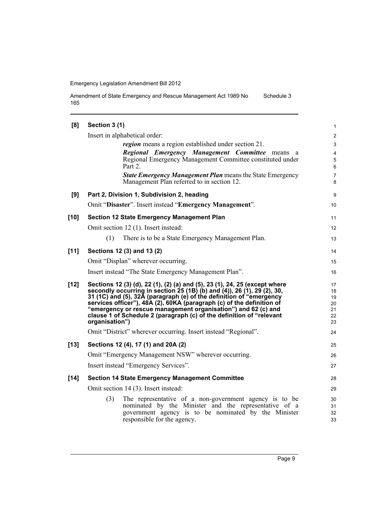Amendment of State Emergency and Rescue Management Act 1989 No 165 Schedule 3

| [8]    | Section 3 (1)                                                                                                                                                                                                                                                                                                                                                                                                                                                    | $\mathbf{1}$                           |
|--------|------------------------------------------------------------------------------------------------------------------------------------------------------------------------------------------------------------------------------------------------------------------------------------------------------------------------------------------------------------------------------------------------------------------------------------------------------------------|----------------------------------------|
|        | Insert in alphabetical order:                                                                                                                                                                                                                                                                                                                                                                                                                                    | $\overline{\mathbf{c}}$                |
|        | <i>region</i> means a region established under section 21.                                                                                                                                                                                                                                                                                                                                                                                                       | 3                                      |
|        | Regional Emergency Management Committee means a<br>Regional Emergency Management Committee constituted under<br>Part 2.                                                                                                                                                                                                                                                                                                                                          | $\overline{\mathbf{4}}$<br>5<br>6      |
|        | <b>State Emergency Management Plan means the State Emergency</b><br>Management Plan referred to in section 12.                                                                                                                                                                                                                                                                                                                                                   | $\overline{7}$<br>8                    |
| [9]    | Part 2, Division 1, Subdivision 2, heading                                                                                                                                                                                                                                                                                                                                                                                                                       | 9                                      |
|        | Omit "Disaster". Insert instead "Emergency Management".                                                                                                                                                                                                                                                                                                                                                                                                          | 10                                     |
| $[10]$ | <b>Section 12 State Emergency Management Plan</b>                                                                                                                                                                                                                                                                                                                                                                                                                | 11                                     |
|        | Omit section 12 (1). Insert instead:                                                                                                                                                                                                                                                                                                                                                                                                                             | 12                                     |
|        | (1)<br>There is to be a State Emergency Management Plan.                                                                                                                                                                                                                                                                                                                                                                                                         | 13                                     |
| $[11]$ | Sections 12 (3) and 13 (2)                                                                                                                                                                                                                                                                                                                                                                                                                                       | 14                                     |
|        | Omit "Displan" wherever occurring.                                                                                                                                                                                                                                                                                                                                                                                                                               | 15                                     |
|        | Insert instead "The State Emergency Management Plan".                                                                                                                                                                                                                                                                                                                                                                                                            | 16                                     |
| $[12]$ | Sections 12 (3) (d), 22 (1), (2) (a) and (5), 23 (1), 24, 25 (except where<br>secondly occurring in section 25 (1B) (b) and (4)), 26 (1), 29 (2), 30,<br>31 (1C) and (5), 32A (paragraph (e) of the definition of "emergency<br>services officer"), 48A (2), 60KA (paragraph (c) of the definition of<br>"emergency or rescue management organisation") and 62 (c) and<br>clause 1 of Schedule 2 (paragraph (c) of the definition of "relevant<br>organisation") | 17<br>18<br>19<br>20<br>21<br>22<br>23 |
|        | Omit "District" wherever occurring. Insert instead "Regional".                                                                                                                                                                                                                                                                                                                                                                                                   | 24                                     |
| $[13]$ | Sections 12 (4), 17 (1) and 20A (2)                                                                                                                                                                                                                                                                                                                                                                                                                              | 25                                     |
|        | Omit "Emergency Management NSW" wherever occurring.                                                                                                                                                                                                                                                                                                                                                                                                              | 26                                     |
|        | Insert instead "Emergency Services".                                                                                                                                                                                                                                                                                                                                                                                                                             | 27                                     |
| $[14]$ | <b>Section 14 State Emergency Management Committee</b>                                                                                                                                                                                                                                                                                                                                                                                                           | 28                                     |
|        | Omit section 14 (3). Insert instead:                                                                                                                                                                                                                                                                                                                                                                                                                             | 29                                     |
|        | (3)<br>The representative of a non-government agency is to be<br>nominated by the Minister and the representative of a<br>government agency is to be nominated by the Minister<br>responsible for the agency.                                                                                                                                                                                                                                                    | 30<br>31<br>32<br>33                   |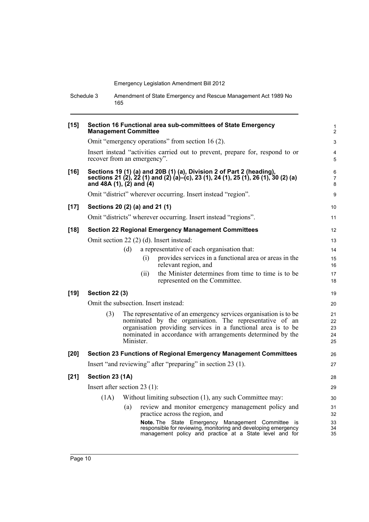Schedule 3 Amendment of State Emergency and Rescue Management Act 1989 No 165

| $[15]$ | <b>Management Committee</b>     |           | Section 16 Functional area sub-committees of State Emergency                                                                                                                                                                                                 | 1<br>$\overline{2}$        |
|--------|---------------------------------|-----------|--------------------------------------------------------------------------------------------------------------------------------------------------------------------------------------------------------------------------------------------------------------|----------------------------|
|        |                                 |           | Omit "emergency operations" from section 16 (2).                                                                                                                                                                                                             | 3                          |
|        | recover from an emergency".     |           | Insert instead "activities carried out to prevent, prepare for, respond to or                                                                                                                                                                                | 4<br>5                     |
| $[16]$ | and 48A $(1)$ , $(2)$ and $(4)$ |           | Sections 19 (1) (a) and 20B (1) (a), Division 2 of Part 2 (heading),<br>sections 21 (2), 22 (1) and (2) (a)–(c), 23 (1), 24 (1), 25 (1), 26 (1), 30 (2) (a)                                                                                                  | 6<br>$\overline{7}$<br>8   |
|        |                                 |           | Omit "district" wherever occurring. Insert instead "region".                                                                                                                                                                                                 | 9                          |
| $[17]$ | Sections 20 (2) (a) and 21 (1)  |           |                                                                                                                                                                                                                                                              | 10 <sup>°</sup>            |
|        |                                 |           | Omit "districts" wherever occurring. Insert instead "regions".                                                                                                                                                                                               | 11                         |
| $[18]$ |                                 |           | <b>Section 22 Regional Emergency Management Committees</b>                                                                                                                                                                                                   | 12                         |
|        |                                 |           | Omit section 22 (2) (d). Insert instead:                                                                                                                                                                                                                     | 13                         |
|        |                                 | (d)       | a representative of each organisation that:                                                                                                                                                                                                                  | 14                         |
|        |                                 |           | provides services in a functional area or areas in the<br>(i)<br>relevant region, and                                                                                                                                                                        | 15<br>16                   |
|        |                                 |           | the Minister determines from time to time is to be<br>(ii)<br>represented on the Committee.                                                                                                                                                                  | 17<br>18                   |
| $[19]$ | <b>Section 22 (3)</b>           |           |                                                                                                                                                                                                                                                              | 19                         |
|        |                                 |           | Omit the subsection. Insert instead:                                                                                                                                                                                                                         | 20                         |
|        | (3)                             | Minister. | The representative of an emergency services organisation is to be<br>nominated by the organisation. The representative of an<br>organisation providing services in a functional area is to be<br>nominated in accordance with arrangements determined by the | 21<br>22<br>23<br>24<br>25 |
| [20]   |                                 |           | <b>Section 23 Functions of Regional Emergency Management Committees</b>                                                                                                                                                                                      | 26                         |
|        |                                 |           | Insert "and reviewing" after "preparing" in section 23 (1).                                                                                                                                                                                                  | 27                         |
| $[21]$ | Section 23 (1A)                 |           |                                                                                                                                                                                                                                                              | 28                         |
|        | Insert after section $23(1)$ :  |           |                                                                                                                                                                                                                                                              | 29                         |
|        | (1A)                            |           | Without limiting subsection (1), any such Committee may:                                                                                                                                                                                                     | 30                         |
|        |                                 | (a)       | review and monitor emergency management policy and<br>practice across the region, and                                                                                                                                                                        | 31<br>32                   |
|        |                                 |           | Note. The State Emergency Management Committee is<br>responsible for reviewing, monitoring and developing emergency<br>management policy and practice at a State level and for                                                                               | 33<br>34<br>35             |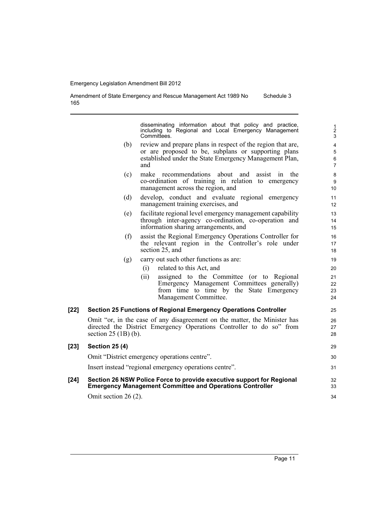Amendment of State Emergency and Rescue Management Act 1989 No 165 Schedule 3

> disseminating information about that policy and practice, including to Regional and Local Emergency Management Committees.

- (b) review and prepare plans in respect of the region that are, or are proposed to be, subplans or supporting plans established under the State Emergency Management Plan, and
- (c) make recommendations about and assist in the co-ordination of training in relation to emergency management across the region, and
- (d) develop, conduct and evaluate regional emergency management training exercises, and
- (e) facilitate regional level emergency management capability through inter-agency co-ordination, co-operation and information sharing arrangements, and
- (f) assist the Regional Emergency Operations Controller for the relevant region in the Controller's role under section 25, and
- (g) carry out such other functions as are:
	- (i) related to this Act, and
		- (ii) assigned to the Committee (or to Regional Emergency Management Committees generally) from time to time by the State Emergency Management Committee.

### **[22] Section 25 Functions of Regional Emergency Operations Controller**

Omit "or, in the case of any disagreement on the matter, the Minister has directed the District Emergency Operations Controller to do so" from section 25 (1B) (b).

#### **[23] Section 25 (4)** Omit "District emergency operations centre". Insert instead "regional emergency operations centre". **[24] Section 26 NSW Police Force to provide executive support for Regional Emergency Management Committee and Operations Controller** 29 30 31 32 33

Omit section 26 (2).

34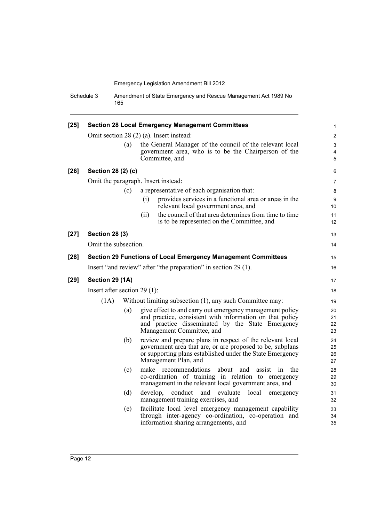Schedule 3 Amendment of State Emergency and Rescue Management Act 1989 No 165

| $[25]$ | <b>Section 28 Local Emergency Management Committees</b>                                            |     |          |                                                                                                                                                                                                             |                       |
|--------|----------------------------------------------------------------------------------------------------|-----|----------|-------------------------------------------------------------------------------------------------------------------------------------------------------------------------------------------------------------|-----------------------|
|        |                                                                                                    |     |          | Omit section 28 (2) (a). Insert instead:                                                                                                                                                                    | $\mathbf{2}$          |
|        |                                                                                                    | (a) |          | the General Manager of the council of the relevant local                                                                                                                                                    | 3                     |
|        |                                                                                                    |     |          | government area, who is to be the Chairperson of the                                                                                                                                                        | 4                     |
|        |                                                                                                    |     |          | Committee, and                                                                                                                                                                                              | 5                     |
| $[26]$ | Section 28 (2) (c)                                                                                 |     |          |                                                                                                                                                                                                             | 6                     |
|        | Omit the paragraph. Insert instead:                                                                |     |          |                                                                                                                                                                                                             | $\overline{7}$        |
|        |                                                                                                    | (c) |          | a representative of each organisation that:                                                                                                                                                                 | 8                     |
|        |                                                                                                    |     | (i)      | provides services in a functional area or areas in the<br>relevant local government area, and                                                                                                               | 9<br>10 <sup>°</sup>  |
|        |                                                                                                    |     | (ii)     | the council of that area determines from time to time<br>is to be represented on the Committee, and                                                                                                         | 11<br>12 <sup>2</sup> |
| $[27]$ | <b>Section 28 (3)</b>                                                                              |     |          |                                                                                                                                                                                                             | 13                    |
|        | Omit the subsection.                                                                               |     |          |                                                                                                                                                                                                             | 14                    |
| $[28]$ |                                                                                                    |     |          | <b>Section 29 Functions of Local Emergency Management Committees</b>                                                                                                                                        | 15                    |
|        |                                                                                                    |     |          | Insert "and review" after "the preparation" in section 29 (1).                                                                                                                                              | 16                    |
| $[29]$ | Section 29 (1A)                                                                                    |     |          |                                                                                                                                                                                                             | 17                    |
|        | Insert after section $29(1)$ :<br>(1A)<br>Without limiting subsection (1), any such Committee may: |     |          | 18                                                                                                                                                                                                          |                       |
|        |                                                                                                    |     |          | 19                                                                                                                                                                                                          |                       |
|        |                                                                                                    | (a) |          | give effect to and carry out emergency management policy<br>and practice, consistent with information on that policy<br>and practice disseminated by the State Emergency<br>Management Committee, and       | 20<br>21<br>22<br>23  |
|        |                                                                                                    | (b) |          | review and prepare plans in respect of the relevant local<br>government area that are, or are proposed to be, subplans<br>or supporting plans established under the State Emergency<br>Management Plan, and | 24<br>25<br>26<br>27  |
|        |                                                                                                    | (c) |          | make recommendations<br>about and<br>assist<br>the<br>1n<br>co-ordination of training in relation to emergency<br>management in the relevant local government area, and                                     | 28<br>29<br>30        |
|        |                                                                                                    | (d) | develop, | conduct and<br>local<br>evaluate<br>emergency<br>management training exercises, and                                                                                                                         | 31<br>32              |
|        |                                                                                                    | (e) |          | facilitate local level emergency management capability<br>through inter-agency co-ordination, co-operation and<br>information sharing arrangements, and                                                     | 33<br>34<br>35        |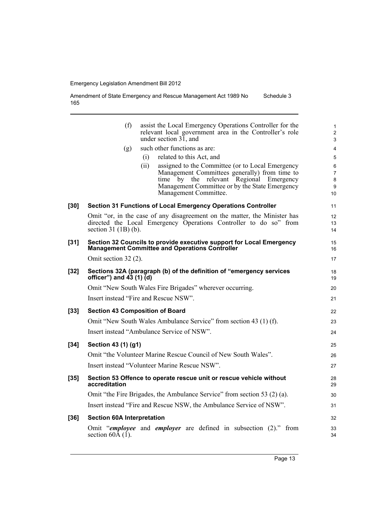Amendment of State Emergency and Rescue Management Act 1989 No 165 Schedule 3

|        | (f)                                         | assist the Local Emergency Operations Controller for the<br>relevant local government area in the Controller's role<br>under section 31, and   | 1<br>$\overline{\mathbf{c}}$<br>3 |
|--------|---------------------------------------------|------------------------------------------------------------------------------------------------------------------------------------------------|-----------------------------------|
|        | (g)                                         | such other functions as are:                                                                                                                   | 4                                 |
|        |                                             | related to this Act, and<br>(i)                                                                                                                | 5                                 |
|        |                                             | (ii)<br>assigned to the Committee (or to Local Emergency                                                                                       | 6                                 |
|        |                                             | Management Committees generally) from time to<br>by<br>the relevant Regional<br>time<br>Emergency                                              | $\overline{7}$<br>8               |
|        |                                             | Management Committee or by the State Emergency                                                                                                 | 9                                 |
|        |                                             | Management Committee.                                                                                                                          | 10                                |
| [30]   |                                             | Section 31 Functions of Local Emergency Operations Controller                                                                                  | 11                                |
|        | section $31$ (1B) (b).                      | Omit "or, in the case of any disagreement on the matter, the Minister has<br>directed the Local Emergency Operations Controller to do so" from | 12<br>13<br>14                    |
| [31]   |                                             | Section 32 Councils to provide executive support for Local Emergency<br><b>Management Committee and Operations Controller</b>                  | 15<br>16                          |
|        | Omit section 32 (2).                        |                                                                                                                                                | 17                                |
| [32]   | officer") and $\overrightarrow{43}$ (1) (d) | Sections 32A (paragraph (b) of the definition of "emergency services                                                                           | 18<br>19                          |
|        |                                             | Omit "New South Wales Fire Brigades" wherever occurring.                                                                                       | 20                                |
|        |                                             | Insert instead "Fire and Rescue NSW".                                                                                                          | 21                                |
| $[33]$ |                                             | <b>Section 43 Composition of Board</b>                                                                                                         | 22                                |
|        |                                             | Omit "New South Wales Ambulance Service" from section 43 (1) (f).                                                                              | 23                                |
|        |                                             | Insert instead "Ambulance Service of NSW".                                                                                                     | 24                                |
| $[34]$ | Section 43 (1) (g1)                         |                                                                                                                                                | 25                                |
|        |                                             | Omit "the Volunteer Marine Rescue Council of New South Wales".                                                                                 | 26                                |
|        |                                             | Insert instead "Volunteer Marine Rescue NSW".                                                                                                  | 27                                |
| $[35]$ | accreditation                               | Section 53 Offence to operate rescue unit or rescue vehicle without                                                                            | 28<br>29                          |
|        |                                             | Omit "the Fire Brigades, the Ambulance Service" from section 53 (2) (a).                                                                       | 30                                |
|        |                                             | Insert instead "Fire and Rescue NSW, the Ambulance Service of NSW".                                                                            | 31                                |
| [36]   | <b>Section 60A Interpretation</b>           |                                                                                                                                                | 32                                |
|        | section $60\text{\AA}$ (1).                 | Omit "employee and employer are defined in subsection (2)." from                                                                               | 33<br>34                          |
|        |                                             |                                                                                                                                                |                                   |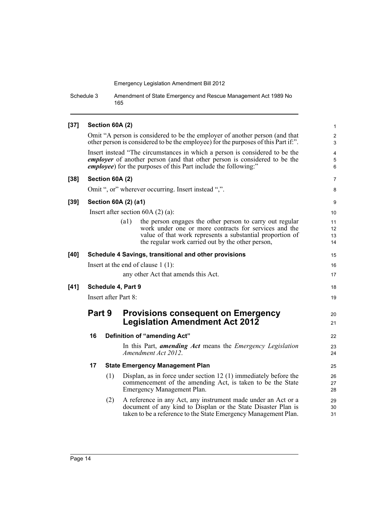Schedule 3 Amendment of State Emergency and Rescue Management Act 1989 No 165

#### **[37] Section 60A (2)** Omit "A person is considered to be the employer of another person (and that other person is considered to be the employee) for the purposes of this Part if:". Insert instead "The circumstances in which a person is considered to be the *employer* of another person (and that other person is considered to be the *employee*) for the purposes of this Part include the following:" **[38] Section 60A (2)** Omit ", or" wherever occurring. Insert instead ",". **[39] Section 60A (2) (a1)** Insert after section 60A (2) (a): (a1) the person engages the other person to carry out regular work under one or more contracts for services and the value of that work represents a substantial proportion of the regular work carried out by the other person, **[40] Schedule 4 Savings, transitional and other provisions** Insert at the end of clause 1 (1): any other Act that amends this Act. **[41] Schedule 4, Part 9** Insert after Part 8: **Part 9 Provisions consequent on Emergency Legislation Amendment Act 2012 16 Definition of "amending Act"** In this Part, *amending Act* means the *Emergency Legislation Amendment Act 2012*. **17 State Emergency Management Plan** (1) Displan, as in force under section 12 (1) immediately before the commencement of the amending Act, is taken to be the State Emergency Management Plan. (2) A reference in any Act, any instrument made under an Act or a document of any kind to Displan or the State Disaster Plan is taken to be a reference to the State Emergency Management Plan. 1 2 3 4 5 6 7 8 9 10 11 12 13 14 15 16 17 18 19  $20$ 21 22 23 24 25 26 27 28 29 30 31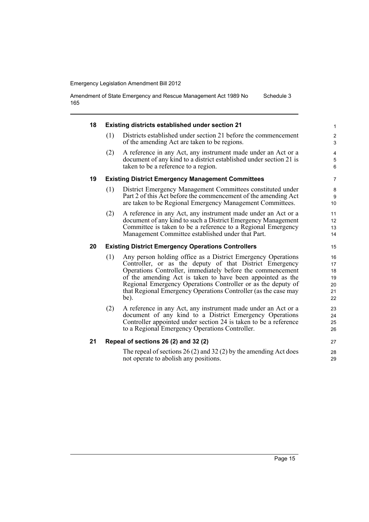Amendment of State Emergency and Rescue Management Act 1989 No 165 Schedule 3

| 18 |     | <b>Existing districts established under section 21</b>                                                                                                                                                                                                                                                                                                                                        | $\mathbf{1}$                           |
|----|-----|-----------------------------------------------------------------------------------------------------------------------------------------------------------------------------------------------------------------------------------------------------------------------------------------------------------------------------------------------------------------------------------------------|----------------------------------------|
|    | (1) | Districts established under section 21 before the commencement<br>of the amending Act are taken to be regions.                                                                                                                                                                                                                                                                                | $\overline{c}$<br>3                    |
|    | (2) | A reference in any Act, any instrument made under an Act or a<br>document of any kind to a district established under section 21 is<br>taken to be a reference to a region.                                                                                                                                                                                                                   | 4<br>5<br>6                            |
| 19 |     | <b>Existing District Emergency Management Committees</b>                                                                                                                                                                                                                                                                                                                                      | $\overline{7}$                         |
|    | (1) | District Emergency Management Committees constituted under<br>Part 2 of this Act before the commencement of the amending Act<br>are taken to be Regional Emergency Management Committees.                                                                                                                                                                                                     | 8<br>9<br>10                           |
|    | (2) | A reference in any Act, any instrument made under an Act or a<br>document of any kind to such a District Emergency Management<br>Committee is taken to be a reference to a Regional Emergency<br>Management Committee established under that Part.                                                                                                                                            | 11<br>12<br>13<br>14                   |
| 20 |     | <b>Existing District Emergency Operations Controllers</b>                                                                                                                                                                                                                                                                                                                                     | 15                                     |
|    | (1) | Any person holding office as a District Emergency Operations<br>Controller, or as the deputy of that District Emergency<br>Operations Controller, immediately before the commencement<br>of the amending Act is taken to have been appointed as the<br>Regional Emergency Operations Controller or as the deputy of<br>that Regional Emergency Operations Controller (as the case may<br>be). | 16<br>17<br>18<br>19<br>20<br>21<br>22 |
|    | (2) | A reference in any Act, any instrument made under an Act or a<br>document of any kind to a District Emergency Operations<br>Controller appointed under section 24 is taken to be a reference<br>to a Regional Emergency Operations Controller.                                                                                                                                                | 23<br>24<br>25<br>26                   |
| 21 |     | Repeal of sections 26 (2) and 32 (2)                                                                                                                                                                                                                                                                                                                                                          | 27                                     |
|    |     | The repeal of sections $26(2)$ and $32(2)$ by the amending Act does<br>not operate to abolish any positions.                                                                                                                                                                                                                                                                                  | 28<br>29                               |